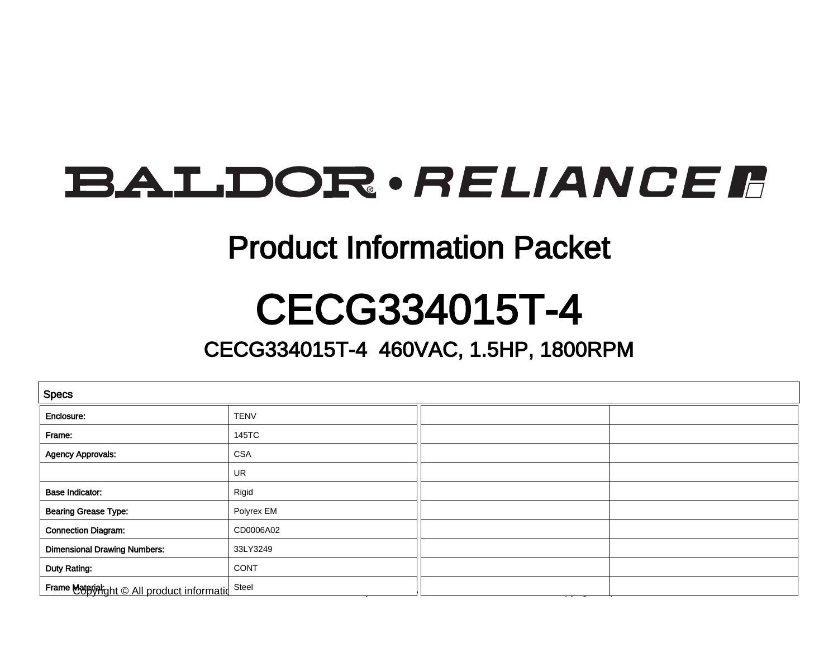## **BALDOR**·RELIANCER

### Product Information Packet

### CECG334015T-4

### CECG334015T-4 460VAC, 1.5HP, 1800RPM

| <b>Specs</b>                                |             |  |  |
|---------------------------------------------|-------------|--|--|
| Enclosure:                                  | <b>TENV</b> |  |  |
| Frame:                                      | 145TC       |  |  |
| <b>Agency Approvals:</b>                    | <b>CSA</b>  |  |  |
|                                             | UR          |  |  |
| <b>Base Indicator:</b>                      | Rigid       |  |  |
| <b>Bearing Grease Type:</b>                 | Polyrex EM  |  |  |
| <b>Connection Diagram:</b>                  | CD0006A02   |  |  |
| <b>Dimensional Drawing Numbers:</b>         | 33LY3249    |  |  |
| Duty Rating:                                | <b>CONT</b> |  |  |
| Frame Material ght © All product informatid | Steel       |  |  |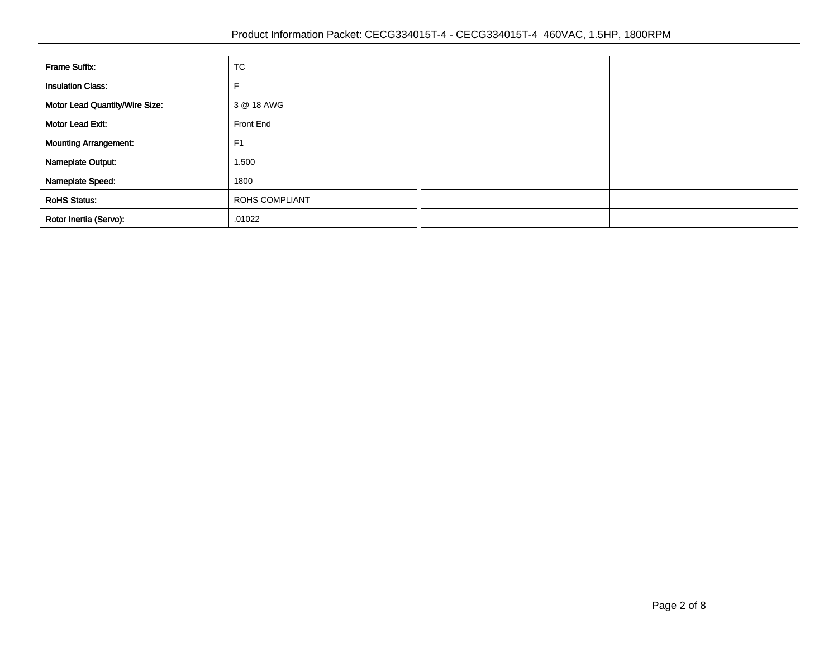| <b>Frame Suffix:</b>           | TC                    |  |
|--------------------------------|-----------------------|--|
| <b>Insulation Class:</b>       |                       |  |
| Motor Lead Quantity/Wire Size: | 3 @ 18 AWG            |  |
| Motor Lead Exit:               | Front End             |  |
| <b>Mounting Arrangement:</b>   | F <sub>1</sub>        |  |
| Nameplate Output:              | 1.500                 |  |
| Nameplate Speed:               | 1800                  |  |
| <b>RoHS Status:</b>            | <b>ROHS COMPLIANT</b> |  |
| Rotor Inertia (Servo):         | .01022                |  |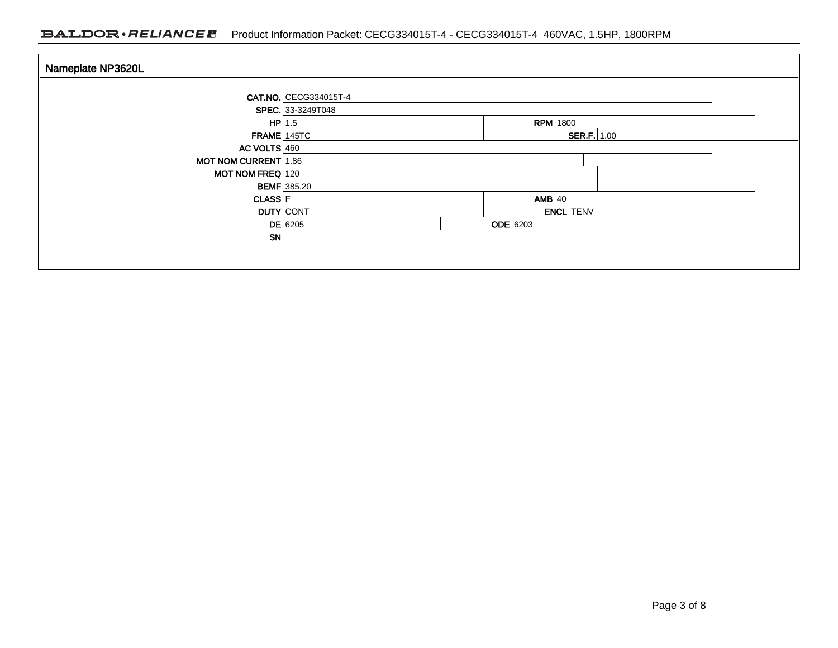#### BALDOR · RELIANCE F Product Information Packet: CECG334015T-4 - CECG334015T-4 460VAC, 1.5HP, 1800RPM

| Nameplate NP3620L           |                       |                  |  |
|-----------------------------|-----------------------|------------------|--|
|                             |                       |                  |  |
|                             | CAT.NO. CECG334015T-4 |                  |  |
|                             | SPEC. 33-3249T048     |                  |  |
| $HP$ 1.5                    |                       | <b>RPM</b> 1800  |  |
| $FRAME$ 145TC               | <b>SER.F.</b> $1.00$  |                  |  |
| AC VOLTS $460$              |                       |                  |  |
| <b>MOT NOM CURRENT 1.86</b> |                       |                  |  |
| MOT NOM FREQ 120            |                       |                  |  |
| <b>BEMF</b> 385.20          |                       |                  |  |
| <b>CLASS</b> F              |                       | $AMB$ 40         |  |
| <b>DUTY</b> CONT            |                       | <b>ENCL</b> TENV |  |
|                             | $DE$ 6205             | $ODE$ 6203       |  |
| SN                          |                       |                  |  |
|                             |                       |                  |  |
|                             |                       |                  |  |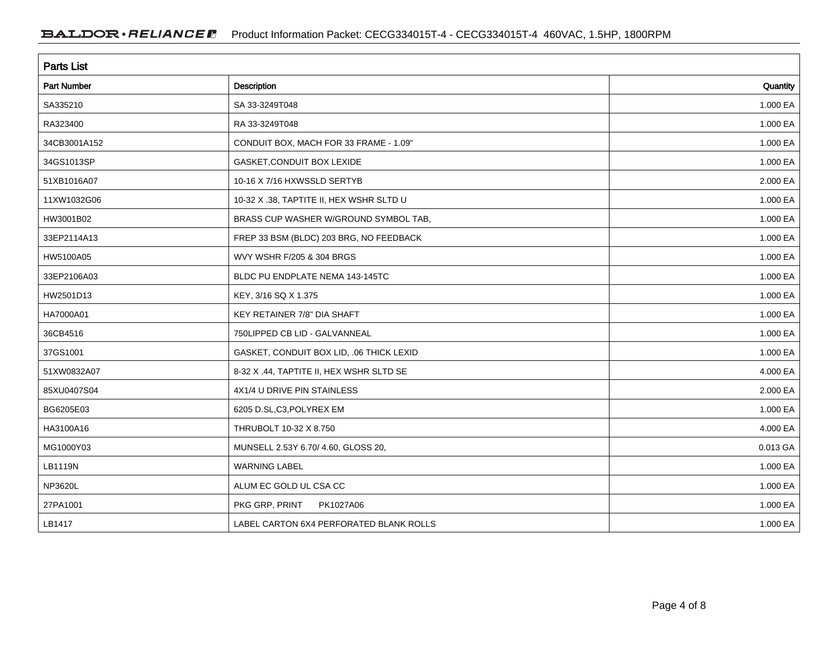| <b>Parts List</b>  |                                          |          |  |
|--------------------|------------------------------------------|----------|--|
| <b>Part Number</b> | <b>Description</b>                       | Quantity |  |
| SA335210           | SA 33-3249T048                           | 1.000 EA |  |
| RA323400           | RA 33-3249T048                           | 1.000 EA |  |
| 34CB3001A152       | CONDUIT BOX, MACH FOR 33 FRAME - 1.09"   | 1.000 EA |  |
| 34GS1013SP         | GASKET, CONDUIT BOX LEXIDE               | 1.000 EA |  |
| 51XB1016A07        | 10-16 X 7/16 HXWSSLD SERTYB              | 2.000 EA |  |
| 11XW1032G06        | 10-32 X .38, TAPTITE II, HEX WSHR SLTD U | 1.000 EA |  |
| HW3001B02          | BRASS CUP WASHER W/GROUND SYMBOL TAB.    | 1.000 EA |  |
| 33EP2114A13        | FREP 33 BSM (BLDC) 203 BRG, NO FEEDBACK  | 1.000 EA |  |
| HW5100A05          | WVY WSHR F/205 & 304 BRGS                | 1.000 EA |  |
| 33EP2106A03        | BLDC PU ENDPLATE NEMA 143-145TC          | 1.000 EA |  |
| HW2501D13          | KEY, 3/16 SQ X 1.375                     | 1.000 EA |  |
| HA7000A01          | KEY RETAINER 7/8" DIA SHAFT              | 1.000 EA |  |
| 36CB4516           | 750LIPPED CB LID - GALVANNEAL            | 1.000 EA |  |
| 37GS1001           | GASKET, CONDUIT BOX LID, .06 THICK LEXID | 1.000 EA |  |
| 51XW0832A07        | 8-32 X .44, TAPTITE II, HEX WSHR SLTD SE | 4.000 EA |  |
| 85XU0407S04        | 4X1/4 U DRIVE PIN STAINLESS              | 2.000 EA |  |
| BG6205E03          | 6205 D.SL,C3,POLYREX EM                  | 1.000 EA |  |
| HA3100A16          | THRUBOLT 10-32 X 8.750                   | 4.000 EA |  |
| MG1000Y03          | MUNSELL 2.53Y 6.70/ 4.60, GLOSS 20,      | 0.013 GA |  |
| LB1119N            | <b>WARNING LABEL</b>                     | 1.000 EA |  |
| <b>NP3620L</b>     | ALUM EC GOLD UL CSA CC                   | 1.000 EA |  |
| 27PA1001           | PKG GRP, PRINT<br>PK1027A06              | 1.000 EA |  |
| LB1417             | LABEL CARTON 6X4 PERFORATED BLANK ROLLS  | 1.000 EA |  |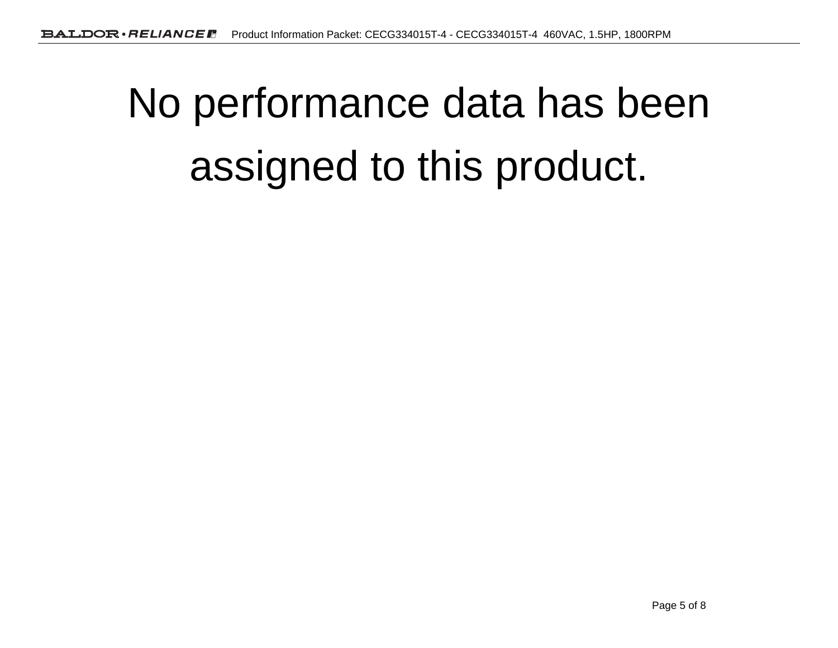# No performance data has beenassigned to this product.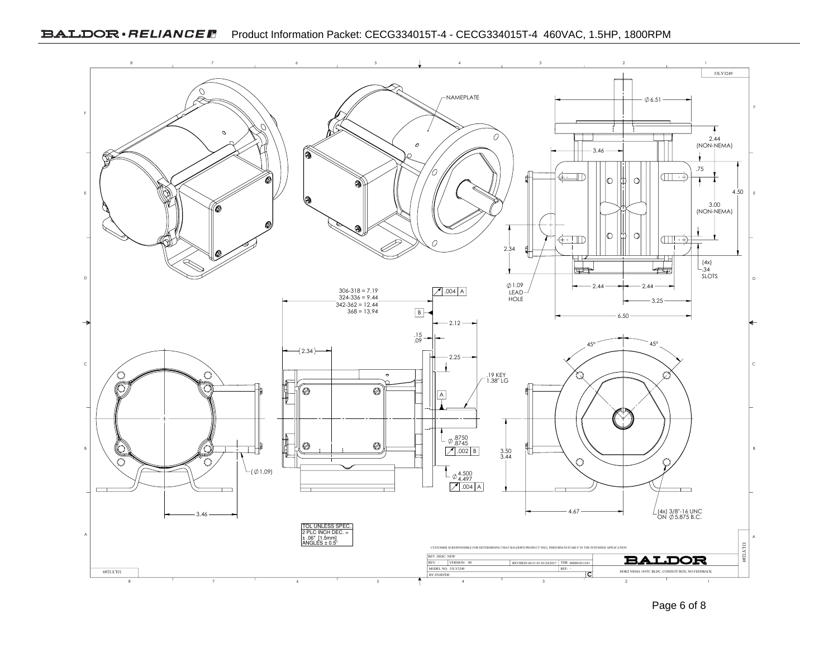

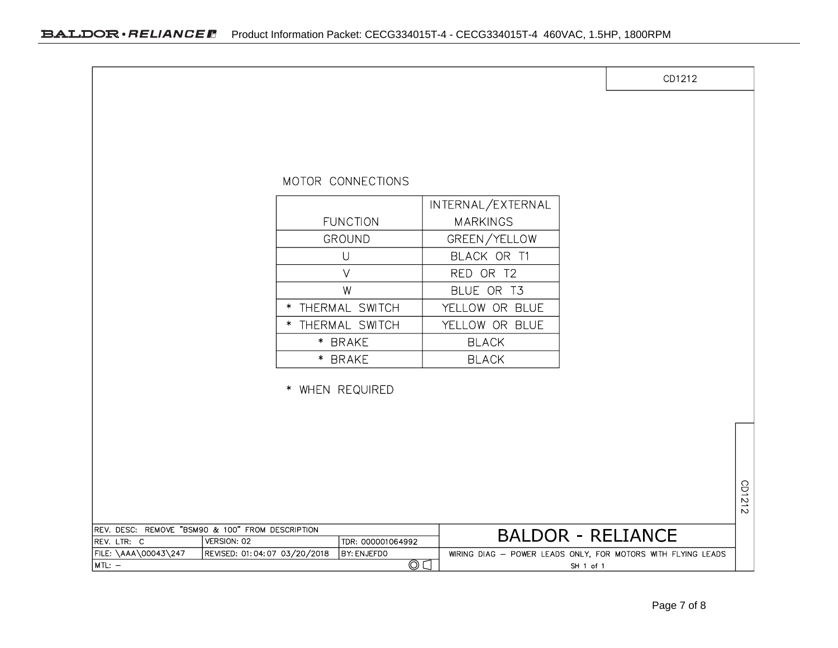|                                                                                |                              |                                                                                                                                      |                                                                                                                                                    | CD1212 |        |
|--------------------------------------------------------------------------------|------------------------------|--------------------------------------------------------------------------------------------------------------------------------------|----------------------------------------------------------------------------------------------------------------------------------------------------|--------|--------|
|                                                                                |                              | MOTOR CONNECTIONS<br><b>FUNCTION</b><br><b>GROUND</b><br>$\bigcup$<br>$\vee$<br>W<br>* THERMAL SWITCH<br>* THERMAL SWITCH<br>* BRAKE | INTERNAL/EXTERNAL<br><b>MARKINGS</b><br>GREEN/YELLOW<br>BLACK OR T1<br>RED OR T2<br>BLUE OR T3<br>YELLOW OR BLUE<br>YELLOW OR BLUE<br><b>BLACK</b> |        |        |
|                                                                                |                              | * BRAKE<br>* WHEN REQUIRED                                                                                                           | <b>BLACK</b>                                                                                                                                       |        |        |
|                                                                                |                              |                                                                                                                                      |                                                                                                                                                    |        | CD1212 |
| REV. DESC: REMOVE "BSM90 & 100" FROM DESCRIPTION<br>VERSION: 02<br>REV. LTR: C |                              | TDR: 000001064992                                                                                                                    | <b>BALDOR - RELIANCE</b>                                                                                                                           |        |        |
| FILE: \AAA\00043\247<br>$MTL: -$                                               | REVISED: 01:04:07 03/20/2018 | BY: ENJEFDO<br>$\circledcirc$                                                                                                        | WIRING DIAG - POWER LEADS ONLY, FOR MOTORS WITH FLYING LEADS<br>SH 1 of 1                                                                          |        |        |